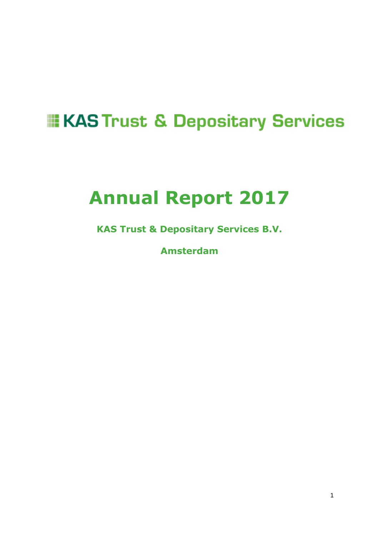# **EXAS Trust & Depositary Services**

# **Annual Report 2017**

**KAS Trust & Depositary Services B.V.** 

**Amsterdam**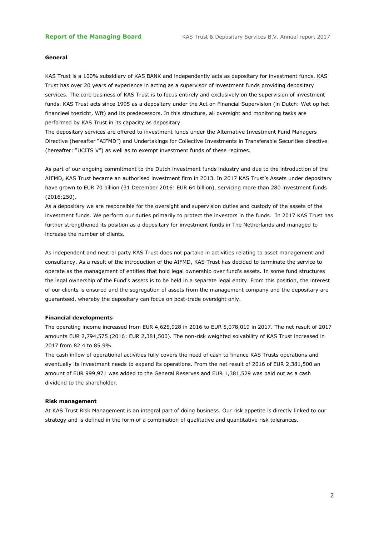#### **General**

KAS Trust is a 100% subsidiary of KAS BANK and independently acts as depositary for investment funds. KAS Trust has over 20 years of experience in acting as a supervisor of investment funds providing depositary services. The core business of KAS Trust is to focus entirely and exclusively on the supervision of investment funds. KAS Trust acts since 1995 as a depositary under the Act on Financial Supervision (in Dutch: Wet op het financieel toezicht, Wft) and its predecessors. In this structure, all oversight and monitoring tasks are performed by KAS Trust in its capacity as depositary.

The depositary services are offered to investment funds under the Alternative Investment Fund Managers Directive (hereafter "AIFMD") and Undertakings for Collective Investments in Transferable Securities directive (hereafter: "UCITS V") as well as to exempt investment funds of these regimes.

As part of our ongoing commitment to the Dutch investment funds industry and due to the introduction of the AIFMD, KAS Trust became an authorised investment firm in 2013. In 2017 KAS Trust's Assets under depositary have grown to EUR 70 billion (31 December 2016: EUR 64 billion), servicing more than 280 investment funds (2016:250).

As a depositary we are responsible for the oversight and supervision duties and custody of the assets of the investment funds. We perform our duties primarily to protect the investors in the funds. In 2017 KAS Trust has further strengthened its position as a depositary for investment funds in The Netherlands and managed to increase the number of clients.

As independent and neutral party KAS Trust does not partake in activities relating to asset management and consultancy. As a result of the introduction of the AIFMD, KAS Trust has decided to terminate the service to operate as the management of entities that hold legal ownership over fund's assets. In some fund structures the legal ownership of the Fund's assets is to be held in a separate legal entity. From this position, the interest of our clients is ensured and the segregation of assets from the management company and the depositary are guaranteed, whereby the depositary can focus on post-trade oversight only.

#### **Financial developments**

The operating income increased from EUR 4,625,928 in 2016 to EUR 5,078,019 in 2017. The net result of 2017 amounts EUR 2,794,575 (2016: EUR 2,381,500). The non-risk weighted solvability of KAS Trust increased in 2017 from 82.4 to 85.9%.

The cash inflow of operational activities fully covers the need of cash to finance KAS Trusts operations and eventually its investment needs to expand its operations. From the net result of 2016 of EUR 2,381,500 an amount of EUR 999,971 was added to the General Reserves and EUR 1,381,529 was paid out as a cash dividend to the shareholder.

#### **Risk management**

At KAS Trust Risk Management is an integral part of doing business. Our risk appetite is directly linked to our strategy and is defined in the form of a combination of qualitative and quantitative risk tolerances.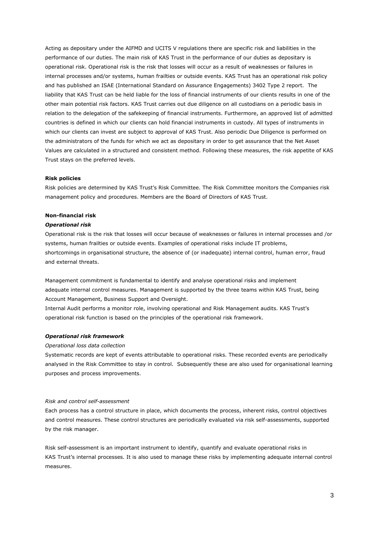Acting as depositary under the AIFMD and UCITS V regulations there are specific risk and liabilities in the performance of our duties. The main risk of KAS Trust in the performance of our duties as depositary is operational risk. Operational risk is the risk that losses will occur as a result of weaknesses or failures in internal processes and/or systems, human frailties or outside events. KAS Trust has an operational risk policy and has published an ISAE (International Standard on Assurance Engagements) 3402 Type 2 report. The liability that KAS Trust can be held liable for the loss of financial instruments of our clients results in one of the other main potential risk factors. KAS Trust carries out due diligence on all custodians on a periodic basis in relation to the delegation of the safekeeping of financial instruments. Furthermore, an approved list of admitted countries is defined in which our clients can hold financial instruments in custody. All types of instruments in which our clients can invest are subject to approval of KAS Trust. Also periodic Due Diligence is performed on the administrators of the funds for which we act as depositary in order to get assurance that the Net Asset Values are calculated in a structured and consistent method. Following these measures, the risk appetite of KAS Trust stays on the preferred levels.

#### **Risk policies**

Risk policies are determined by KAS Trust's Risk Committee. The Risk Committee monitors the Companies risk management policy and procedures. Members are the Board of Directors of KAS Trust.

#### **Non-financial risk**

#### *Operational risk*

Operational risk is the risk that losses will occur because of weaknesses or failures in internal processes and /or systems, human frailties or outside events. Examples of operational risks include IT problems, shortcomings in organisational structure, the absence of (or inadequate) internal control, human error, fraud and external threats.

Management commitment is fundamental to identify and analyse operational risks and implement adequate internal control measures. Management is supported by the three teams within KAS Trust, being Account Management, Business Support and Oversight.

Internal Audit performs a monitor role, involving operational and Risk Management audits. KAS Trust's operational risk function is based on the principles of the operational risk framework.

#### *Operational risk framework*

*Operational loss data collection*

Systematic records are kept of events attributable to operational risks. These recorded events are periodically analysed in the Risk Committee to stay in control. Subsequently these are also used for organisational learning purposes and process improvements.

#### *Risk and control self-assessment*

Each process has a control structure in place, which documents the process, inherent risks, control objectives and control measures. These control structures are periodically evaluated via risk self-assessments, supported by the risk manager.

Risk self-assessment is an important instrument to identify, quantify and evaluate operational risks in KAS Trust's internal processes. It is also used to manage these risks by implementing adequate internal control measures.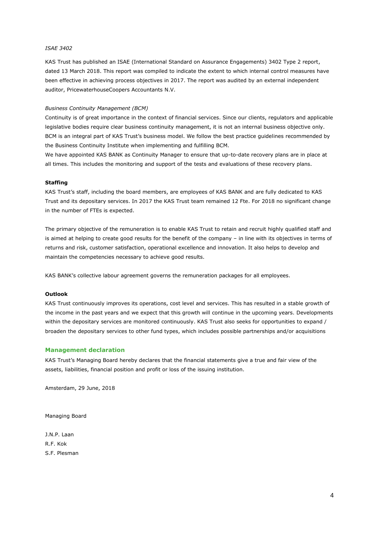#### *ISAE 3402*

KAS Trust has published an ISAE (International Standard on Assurance Engagements) 3402 Type 2 report, dated 13 March 2018. This report was compiled to indicate the extent to which internal control measures have been effective in achieving process objectives in 2017. The report was audited by an external independent auditor, PricewaterhouseCoopers Accountants N.V.

#### *Business Continuity Management (BCM)*

Continuity is of great importance in the context of financial services. Since our clients, regulators and applicable legislative bodies require clear business continuity management, it is not an internal business objective only. BCM is an integral part of KAS Trust's business model. We follow the best practice guidelines recommended by the Business Continuity Institute when implementing and fulfilling BCM.

We have appointed KAS BANK as Continuity Manager to ensure that up-to-date recovery plans are in place at all times. This includes the monitoring and support of the tests and evaluations of these recovery plans.

#### **Staffing**

KAS Trust's staff, including the board members, are employees of KAS BANK and are fully dedicated to KAS Trust and its depositary services. In 2017 the KAS Trust team remained 12 Fte. For 2018 no significant change in the number of FTEs is expected.

The primary objective of the remuneration is to enable KAS Trust to retain and recruit highly qualified staff and is aimed at helping to create good results for the benefit of the company – in line with its objectives in terms of returns and risk, customer satisfaction, operational excellence and innovation. It also helps to develop and maintain the competencies necessary to achieve good results.

KAS BANK's collective labour agreement governs the remuneration packages for all employees.

#### **Outlook**

KAS Trust continuously improves its operations, cost level and services. This has resulted in a stable growth of the income in the past years and we expect that this growth will continue in the upcoming years. Developments within the depositary services are monitored continuously. KAS Trust also seeks for opportunities to expand / broaden the depositary services to other fund types, which includes possible partnerships and/or acquisitions

#### **Management declaration**

KAS Trust's Managing Board hereby declares that the financial statements give a true and fair view of the assets, liabilities, financial position and profit or loss of the issuing institution.

Amsterdam, 29 June, 2018

Managing Board

J.N.P. Laan R.F. Kok S.F. Plesman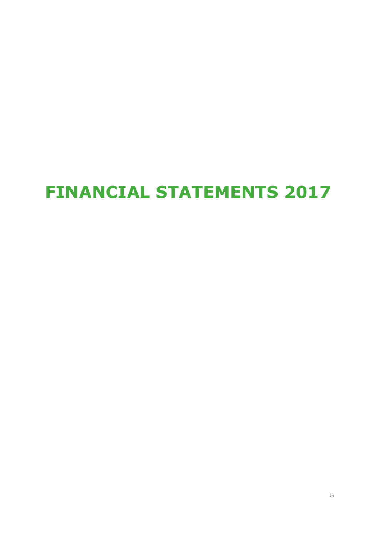# **FINANCIAL STATEMENTS 2017**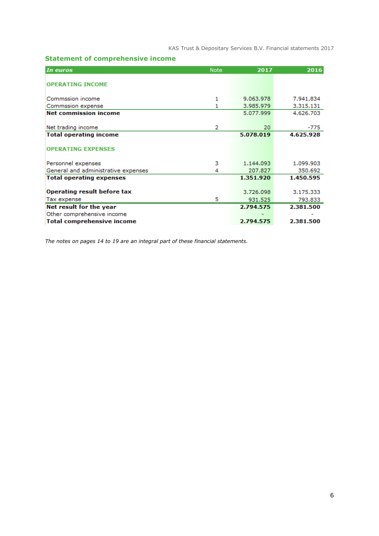# **Statement of comprehensive income**

| In euros                                   | <b>Note</b> | 2017                 | 2016                 |
|--------------------------------------------|-------------|----------------------|----------------------|
| <b>OPERATING INCOME</b>                    |             |                      |                      |
| Commssion income                           | 1           | 9.063.978            | 7.941.834            |
| Commssion expense                          | 1           | 3.985.979            | 3.315.131            |
| <b>Net commission income</b>               |             | 5.077.999            | 4.626.703            |
| Net trading income                         | 2           | 20                   | -775                 |
| <b>Total operating income</b>              |             | 5.078.019            | 4.625.928            |
| <b>OPERATING EXPENSES</b>                  |             |                      |                      |
| Personnel expenses                         | з           | 1.144.093            | 1.099.903            |
| General and administrative expenses        | 4           | 207.827              | 350.692              |
| <b>Total operating expenses</b>            |             | 1.351.920            | 1.450.595            |
| Operating result before tax<br>Tax expense | 5           | 3.726.098<br>931.525 | 3.175.333<br>793.833 |
| Net result for the year                    |             | 2.794.575            | 2.381.500            |
| Other comprehensive income                 |             |                      |                      |
| <b>Total comprehensive income</b>          |             | 2.794.575            | 2.381.500            |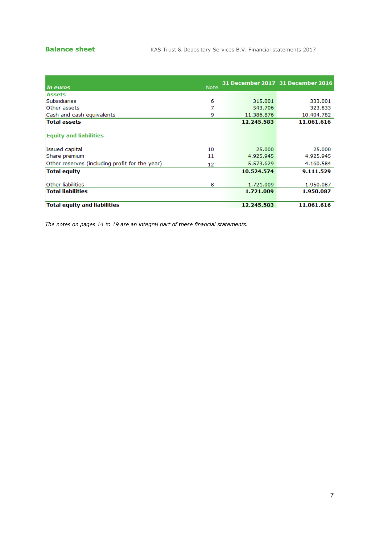|                                                |             |            | 31 December 2017 31 December 2016 |
|------------------------------------------------|-------------|------------|-----------------------------------|
| In euros                                       | <b>Note</b> |            |                                   |
| <b>Assets</b>                                  |             |            |                                   |
| <b>Subsidiaries</b>                            | 6           | 315.001    | 333.001                           |
| Other assets                                   | 7           | 543.706    | 323.833                           |
| Cash and cash equivalents                      | 9           | 11.386.876 | 10.404.782                        |
| <b>Total assets</b>                            |             | 12.245.583 | 11.061.616                        |
|                                                |             |            |                                   |
| <b>Equity and liabilities</b>                  |             |            |                                   |
|                                                |             |            |                                   |
| Issued capital                                 | 10          | 25,000     | 25,000                            |
| Share premium                                  | 11          | 4.925.945  | 4.925.945                         |
| Other reserves (including profit for the year) | 12          | 5.573.629  | 4.160.584                         |
| <b>Total equity</b>                            |             | 10.524.574 | 9.111.529                         |
|                                                |             |            |                                   |
| Other liabilities                              | 8           | 1.721.009  | 1.950.087                         |
| <b>Total liabilities</b>                       |             | 1.721.009  | 1.950.087                         |
| <b>Total equity and liabilities</b>            |             | 12.245.583 | 11.061.616                        |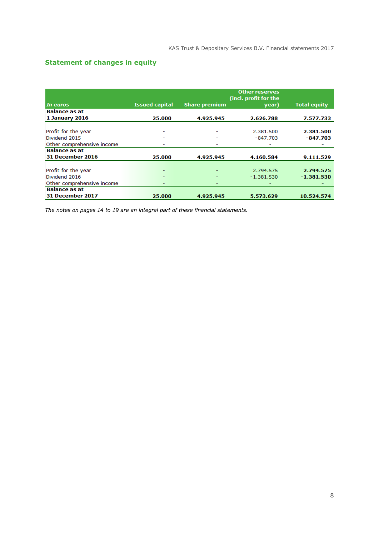# **Statement of changes in equity**

| In euros                   | <b>Issued capital</b> | <b>Share premium</b> | <b>Other reserves</b><br>(incl. profit for the<br>year) | <b>Total equity</b> |
|----------------------------|-----------------------|----------------------|---------------------------------------------------------|---------------------|
| <b>Balance as at</b>       |                       |                      |                                                         |                     |
| <b>1 January 2016</b>      | 25.000                | 4.925.945            | 2.626.788                                               | 7.577.733           |
|                            |                       |                      |                                                         |                     |
| Profit for the year        |                       |                      | 2.381.500                                               | 2.381.500           |
| Dividend 2015              |                       |                      | $-847.703$                                              | $-847.703$          |
| Other comprehensive income |                       | -                    |                                                         |                     |
| <b>Balance as at</b>       |                       |                      |                                                         |                     |
| <b>31 December 2016</b>    | 25.000                | 4.925.945            | 4.160.584                                               | 9.111.529           |
|                            |                       |                      |                                                         |                     |
| Profit for the year        |                       |                      | 2.794.575                                               | 2.794.575           |
| Dividend 2016              |                       |                      | $-1.381.530$                                            | $-1.381.530$        |
| Other comprehensive income |                       | ٠                    |                                                         |                     |
| <b>Balance as at</b>       |                       |                      |                                                         |                     |
| <b>31 December 2017</b>    | 25.000                | 4.925.945            | 5.573.629                                               | 10.524.574          |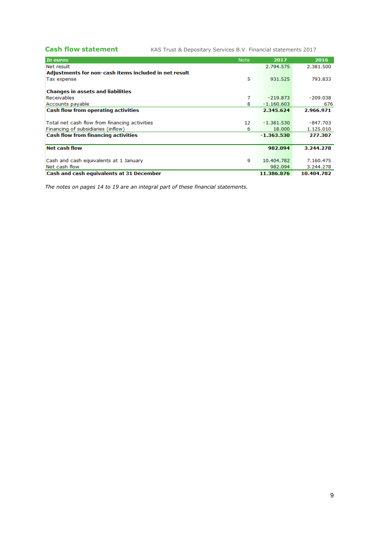**Cash flow statement** KAS Trust & Depositary Services B.V. Financial statements 2017

| In euros                                              | <b>Note</b> | 2017         | 2016       |
|-------------------------------------------------------|-------------|--------------|------------|
| Net result                                            |             | 2.794.575    | 2.381.500  |
| Adjustments for non-cash items included in net result |             |              |            |
| Tax expense                                           | 5           | 931.525      | 793.833    |
|                                                       |             |              |            |
| <b>Changes in assets and liabilities</b>              |             |              |            |
| <b>Receivables</b>                                    | 7           | $-219.873$   | $-209.038$ |
| Accounts payable                                      | 8           | $-1.160.603$ | 676        |
| <b>Cash flow from operating activities</b>            |             | 2.345.624    | 2.966.971  |
|                                                       |             |              |            |
| Total net cash flow from financing activities         | 12          | $-1.381.530$ | $-847.703$ |
| Financing of subsidiaries (inflow)                    | 6           | 18,000       | 1.125.010  |
| <b>Cash flow from financing activities</b>            |             | $-1.363.530$ | 277.307    |
|                                                       |             |              |            |
| <b>Net cash flow</b>                                  |             | 982.094      | 3.244.278  |
|                                                       |             |              |            |
| Cash and cash equivalents at 1 January                | 9           | 10.404.782   | 7.160.475  |
| Net cash flow                                         |             | 982.094      | 3.244.278  |
| Cash and cash equivalents at 31 December              |             | 11.386.876   | 10.404.782 |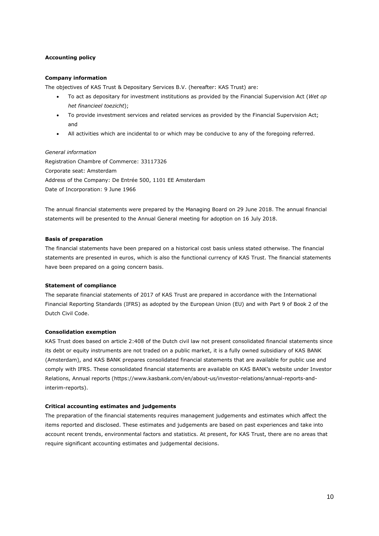#### **Accounting policy**

#### **Company information**

The objectives of KAS Trust & Depositary Services B.V. (hereafter: KAS Trust) are:

- To act as depositary for investment institutions as provided by the Financial Supervision Act (*Wet op het financieel toezicht*);
- To provide investment services and related services as provided by the Financial Supervision Act; and
- All activities which are incidental to or which may be conducive to any of the foregoing referred.

# *General information*

Registration Chambre of Commerce: 33117326 Corporate seat: Amsterdam Address of the Company: De Entrée 500, 1101 EE Amsterdam Date of Incorporation: 9 June 1966

The annual financial statements were prepared by the Managing Board on 29 June 2018. The annual financial statements will be presented to the Annual General meeting for adoption on 16 July 2018.

#### **Basis of preparation**

The financial statements have been prepared on a historical cost basis unless stated otherwise. The financial statements are presented in euros, which is also the functional currency of KAS Trust. The financial statements have been prepared on a going concern basis.

#### **Statement of compliance**

The separate financial statements of 2017 of KAS Trust are prepared in accordance with the International Financial Reporting Standards (IFRS) as adopted by the European Union (EU) and with Part 9 of Book 2 of the Dutch Civil Code.

#### **Consolidation exemption**

KAS Trust does based on article 2:408 of the Dutch civil law not present consolidated financial statements since its debt or equity instruments are not traded on a public market, it is a fully owned subsidiary of KAS BANK (Amsterdam), and KAS BANK prepares consolidated financial statements that are available for public use and comply with IFRS. These consolidated financial statements are available on KAS BANK's website under Investor Relations, Annual reports (https://www.kasbank.com/en/about-us/investor-relations/annual-reports-andinterim-reports).

#### **Critical accounting estimates and judgements**

The preparation of the financial statements requires management judgements and estimates which affect the items reported and disclosed. These estimates and judgements are based on past experiences and take into account recent trends, environmental factors and statistics. At present, for KAS Trust, there are no areas that require significant accounting estimates and judgemental decisions.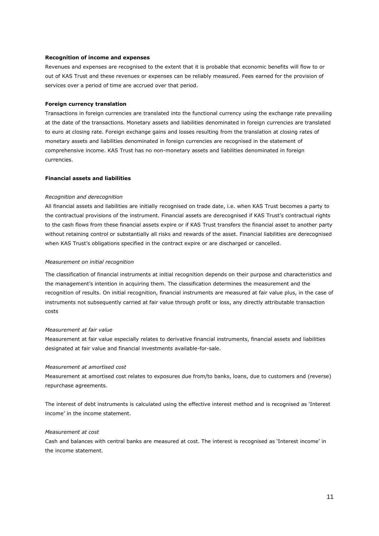#### **Recognition of income and expenses**

Revenues and expenses are recognised to the extent that it is probable that economic benefits will flow to or out of KAS Trust and these revenues or expenses can be reliably measured. Fees earned for the provision of services over a period of time are accrued over that period.

#### **Foreign currency translation**

Transactions in foreign currencies are translated into the functional currency using the exchange rate prevailing at the date of the transactions. Monetary assets and liabilities denominated in foreign currencies are translated to euro at closing rate. Foreign exchange gains and losses resulting from the translation at closing rates of monetary assets and liabilities denominated in foreign currencies are recognised in the statement of comprehensive income. KAS Trust has no non-monetary assets and liabilities denominated in foreign currencies.

#### **Financial assets and liabilities**

#### *Recognition and derecognition*

All financial assets and liabilities are initially recognised on trade date, i.e. when KAS Trust becomes a party to the contractual provisions of the instrument. Financial assets are derecognised if KAS Trust's contractual rights to the cash flows from these financial assets expire or if KAS Trust transfers the financial asset to another party without retaining control or substantially all risks and rewards of the asset. Financial liabilities are derecognised when KAS Trust's obligations specified in the contract expire or are discharged or cancelled.

#### *Measurement on initial recognition*

The classification of financial instruments at initial recognition depends on their purpose and characteristics and the management's intention in acquiring them. The classification determines the measurement and the recognition of results. On initial recognition, financial instruments are measured at fair value plus, in the case of instruments not subsequently carried at fair value through profit or loss, any directly attributable transaction costs

#### *Measurement at fair value*

Measurement at fair value especially relates to derivative financial instruments, financial assets and liabilities designated at fair value and financial investments available-for-sale.

#### *Measurement at amortised cost*

Measurement at amortised cost relates to exposures due from/to banks, loans, due to customers and (reverse) repurchase agreements.

The interest of debt instruments is calculated using the effective interest method and is recognised as 'Interest income' in the income statement.

#### *Measurement at cost*

Cash and balances with central banks are measured at cost. The interest is recognised as 'Interest income' in the income statement.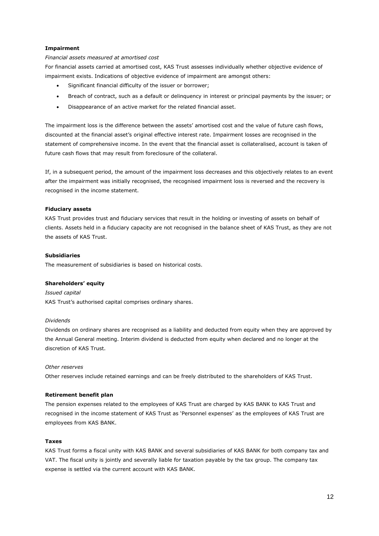#### **Impairment**

#### *Financial assets measured at amortised cost*

For financial assets carried at amortised cost, KAS Trust assesses individually whether objective evidence of impairment exists. Indications of objective evidence of impairment are amongst others:

- Significant financial difficulty of the issuer or borrower;
- Breach of contract, such as a default or delinquency in interest or principal payments by the issuer; or
- Disappearance of an active market for the related financial asset.

The impairment loss is the difference between the assets' amortised cost and the value of future cash flows, discounted at the financial asset's original effective interest rate. Impairment losses are recognised in the statement of comprehensive income. In the event that the financial asset is collateralised, account is taken of future cash flows that may result from foreclosure of the collateral.

If, in a subsequent period, the amount of the impairment loss decreases and this objectively relates to an event after the impairment was initially recognised, the recognised impairment loss is reversed and the recovery is recognised in the income statement.

#### **Fiduciary assets**

KAS Trust provides trust and fiduciary services that result in the holding or investing of assets on behalf of clients. Assets held in a fiduciary capacity are not recognised in the balance sheet of KAS Trust, as they are not the assets of KAS Trust.

#### **Subsidiaries**

The measurement of subsidiaries is based on historical costs.

#### **Shareholders' equity**

*Issued capital* KAS Trust's authorised capital comprises ordinary shares.

#### *Dividends*

Dividends on ordinary shares are recognised as a liability and deducted from equity when they are approved by the Annual General meeting. Interim dividend is deducted from equity when declared and no longer at the discretion of KAS Trust.

#### *Other reserves*

Other reserves include retained earnings and can be freely distributed to the shareholders of KAS Trust.

#### **Retirement benefit plan**

The pension expenses related to the employees of KAS Trust are charged by KAS BANK to KAS Trust and recognised in the income statement of KAS Trust as 'Personnel expenses' as the employees of KAS Trust are employees from KAS BANK.

#### **Taxes**

KAS Trust forms a fiscal unity with KAS BANK and several subsidiaries of KAS BANK for both company tax and VAT. The fiscal unity is jointly and severally liable for taxation payable by the tax group. The company tax expense is settled via the current account with KAS BANK.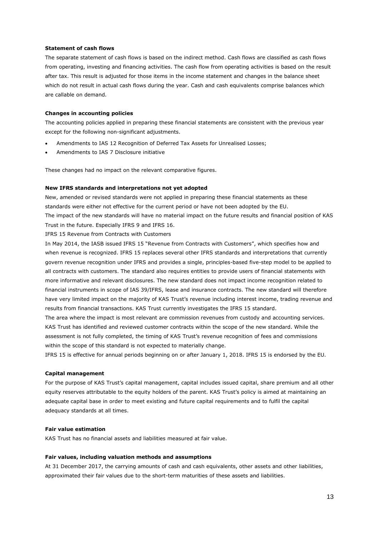#### **Statement of cash flows**

The separate statement of cash flows is based on the indirect method. Cash flows are classified as cash flows from operating, investing and financing activities. The cash flow from operating activities is based on the result after tax. This result is adjusted for those items in the income statement and changes in the balance sheet which do not result in actual cash flows during the year. Cash and cash equivalents comprise balances which are callable on demand.

#### **Changes in accounting policies**

The accounting policies applied in preparing these financial statements are consistent with the previous year except for the following non-significant adjustments.

- Amendments to IAS 12 Recognition of Deferred Tax Assets for Unrealised Losses;
- Amendments to IAS 7 Disclosure initiative

These changes had no impact on the relevant comparative figures.

#### **New IFRS standards and interpretations not yet adopted**

New, amended or revised standards were not applied in preparing these financial statements as these standards were either not effective for the current period or have not been adopted by the EU. The impact of the new standards will have no material impact on the future results and financial position of KAS Trust in the future. Especially IFRS 9 and IFRS 16.

IFRS 15 Revenue from Contracts with Customers

In May 2014, the IASB issued IFRS 15 "Revenue from Contracts with Customers", which specifies how and when revenue is recognized. IFRS 15 replaces several other IFRS standards and interpretations that currently govern revenue recognition under IFRS and provides a single, principles-based five-step model to be applied to all contracts with customers. The standard also requires entities to provide users of financial statements with more informative and relevant disclosures. The new standard does not impact income recognition related to financial instruments in scope of IAS 39/IFRS, lease and insurance contracts. The new standard will therefore have very limited impact on the majority of KAS Trust's revenue including interest income, trading revenue and results from financial transactions. KAS Trust currently investigates the IFRS 15 standard.

The area where the impact is most relevant are commission revenues from custody and accounting services. KAS Trust has identified and reviewed customer contracts within the scope of the new standard. While the assessment is not fully completed, the timing of KAS Trust's revenue recognition of fees and commissions within the scope of this standard is not expected to materially change.

IFRS 15 is effective for annual periods beginning on or after January 1, 2018. IFRS 15 is endorsed by the EU.

#### **Capital management**

For the purpose of KAS Trust's capital management, capital includes issued capital, share premium and all other equity reserves attributable to the equity holders of the parent. KAS Trust's policy is aimed at maintaining an adequate capital base in order to meet existing and future capital requirements and to fulfil the capital adequacy standards at all times.

#### **Fair value estimation**

KAS Trust has no financial assets and liabilities measured at fair value.

#### **Fair values, including valuation methods and assumptions**

At 31 December 2017, the carrying amounts of cash and cash equivalents, other assets and other liabilities, approximated their fair values due to the short-term maturities of these assets and liabilities.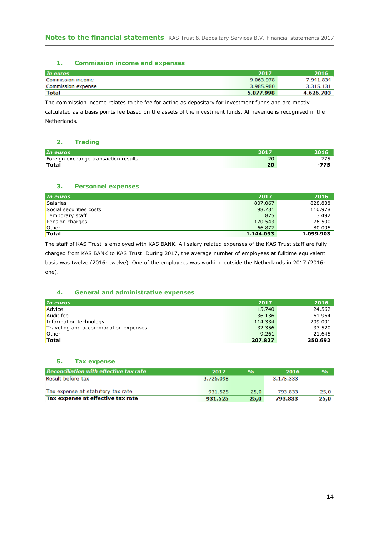#### **1. Commission income and expenses**

| In euros           | 2017      | 2016      |
|--------------------|-----------|-----------|
| Commission income  | 9.063.978 | 7.941.834 |
| Commission expense | 3.985.980 | 3.315.131 |
| <b>Total</b>       | 5.077.998 | 4.626.703 |

The commission income relates to the fee for acting as depositary for investment funds and are mostly

calculated as a basis points fee based on the assets of the investment funds. All revenue is recognised in the Netherlands.

#### **2. Trading**

| In euros                                |                               |                          |
|-----------------------------------------|-------------------------------|--------------------------|
| Foreign<br>exchange transaction results | $\overline{\phantom{a}}$<br>ᅩ | $\overline{\phantom{0}}$ |
| <b>Total</b>                            | $\sim$<br>zu                  |                          |

### **3. Personnel expenses**

| In euros                | 2017      | 2016      |
|-------------------------|-----------|-----------|
| Salaries                | 807.067   | 828,838   |
| Social securities costs | 98.731    | 110.978   |
| Temporary staff         | 875       | 3.492     |
| Pension charges         | 170.543   | 76.500    |
| Other                   | 66,877    | 80.095    |
| <b>Total</b>            | 1.144.093 | 1.099.903 |

The staff of KAS Trust is employed with KAS BANK. All salary related expenses of the KAS Trust staff are fully charged from KAS BANK to KAS Trust. During 2017, the average number of employees at fulltime equivalent basis was twelve (2016: twelve). One of the employees was working outside the Netherlands in 2017 (2016: one).

#### **4. General and administrative expenses**

| In euros                             | 2017    | 2016    |
|--------------------------------------|---------|---------|
| Advice                               | 15.740  | 24.562  |
| Audit fee                            | 36.136  | 61.964  |
| Information technology               | 114.334 | 209.001 |
| Traveling and accommodation expenses | 32.356  | 33.520  |
| Other                                | 9.261   | 21.645  |
| <b>Total</b>                         | 207.827 | 350.692 |

### **5. Tax expense**

| Reconciliation with effective tax rate | 2017      | $\mathbf{Q}/\mathbf{Q}$ | 2016      | $\frac{9}{0}$ |
|----------------------------------------|-----------|-------------------------|-----------|---------------|
| Result before tax                      | 3.726.098 |                         | 3.175.333 |               |
| Tax expense at statutory tax rate      | 931.525   | 25.0                    | 793.833   | 25,0          |
| Tax expense at effective tax rate      | 931.525   | 25.0                    | 793.833   | 25,0          |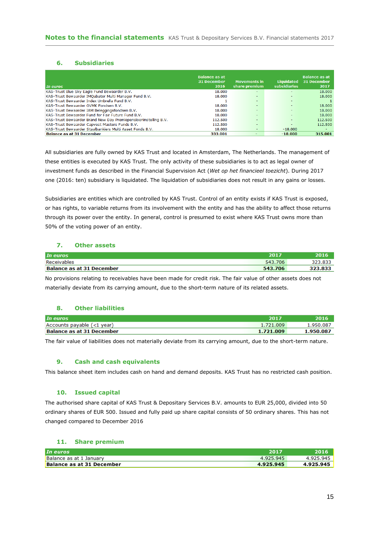#### **6. Subsidiaries**

| In euros                                                        | <b>Balance as at</b><br>31 December<br>2016 | <b>Movements in</b><br>share premium | Liquidated<br><b>subsidiaries</b> | <b>Balance as at</b><br>31 December<br>2017 |
|-----------------------------------------------------------------|---------------------------------------------|--------------------------------------|-----------------------------------|---------------------------------------------|
| KAS-Trust Blue Sky Eagle Fund Bewaarder B.V.                    | 18,000                                      | ۰                                    |                                   | 18,000                                      |
| KAS-Trust Bewaarder IMQubator Multi Manager Fund B.V.           | 18,000                                      | ۰                                    |                                   | 18,000                                      |
| KAS-Trust Bewaarder Index Umbrella Fund B.V.                    |                                             | $\sim$                               | $\overline{\phantom{0}}$          |                                             |
| KAS-Trust Bewaarder OVMK Fondsen B.V.                           | 18,000                                      |                                      |                                   | 18,000                                      |
| KAS-Trust Bewaarder IAM Beleggingsfondsen B.V.                  | 18,000                                      | ۰                                    |                                   | 18,000                                      |
| KAS-Trust Bewaarder Fund for Fair Future Fund B.V.              | 18,000                                      | <b>-</b>                             |                                   | 18,000                                      |
| KAS-Trust Bewaarder Brand New Day Premiepensioeninstelling B.V. | 112.500                                     |                                      | $\sim$                            | 112.500                                     |
| KAS-Trust Bewaarder Capvest Masters Funds B.V.                  | 112,500                                     | $\overline{\phantom{a}}$             |                                   | 112,500                                     |
| KAS-Trust Bewaarder Staalbankiers Multi Asset Fonds B.V.        | 18,000                                      | $\overline{\phantom{a}}$             | $-18.000$                         | ۰                                           |
| <b>Balance as at 31 December</b>                                | 333.001                                     | -                                    | $-18.000$                         | 315.001                                     |

All subsidiaries are fully owned by KAS Trust and located in Amsterdam, The Netherlands. The management of these entities is executed by KAS Trust. The only activity of these subsidiaries is to act as legal owner of investment funds as described in the Financial Supervision Act (*Wet op het financieel toezicht*). During 2017 one (2016: ten) subsidiary is liquidated. The liquidation of subsidiaries does not result in any gains or losses.

Subsidiaries are entities which are controlled by KAS Trust. Control of an entity exists if KAS Trust is exposed, or has rights, to variable returns from its involvement with the entity and has the ability to affect those returns through its power over the entity. In general, control is presumed to exist where KAS Trust owns more than 50% of the voting power of an entity.

### **7. Other assets**

| In euros                         | 2017    |         |
|----------------------------------|---------|---------|
| Receivables                      | 543.706 | 323.835 |
| <b>Balance as at 31 December</b> | 543.706 |         |

No provisions relating to receivables have been made for credit risk. The fair value of other assets does not materially deviate from its carrying amount, due to the short-term nature of its related assets.

#### **8. Other liabilities**

| In euros                         | 2017      |           |
|----------------------------------|-----------|-----------|
| Accounts payable (<1 year)       | 1.721.009 | 1.950.087 |
| <b>Balance as at 31 December</b> | 1.721.009 | 1.950.087 |

The fair value of liabilities does not materially deviate from its carrying amount, due to the short-term nature.

#### **9. Cash and cash equivalents**

This balance sheet item includes cash on hand and demand deposits. KAS Trust has no restricted cash position.

#### **10. Issued capital**

The authorised share capital of KAS Trust & Depositary Services B.V. amounts to EUR 25,000, divided into 50 ordinary shares of EUR 500. Issued and fully paid up share capital consists of 50 ordinary shares. This has not changed compared to December 2016

#### **11. Share premium**

| In euros                  | 2011      | 2016      |
|---------------------------|-----------|-----------|
| Balance as at 1 January   | 4.925.945 | 4.925.945 |
| Balance as at 31 December | 4.925.945 | 4.925.945 |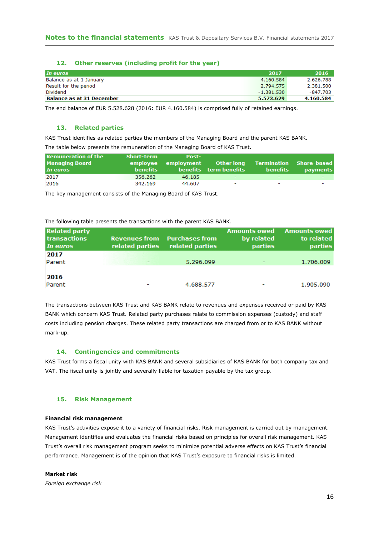#### **12. Other reserves (including profit for the year)**

| In euros                         | 2017         | 2016      |
|----------------------------------|--------------|-----------|
| Balance as at 1 January          | 4.160.584    | 2.626.788 |
| Result for the period            | 2.794.575    | 2.381.500 |
| Dividend                         | $-1.381.530$ | -847.703  |
| <b>Balance as at 31 December</b> | 5.573.629    | 4.160.584 |

The end balance of EUR 5.528.628 (2016: EUR 4.160.584) is comprised fully of retained earnings.

#### **13. Related parties**

KAS Trust identifies as related parties the members of the Managing Board and the parent KAS BANK. The table below presents the remuneration of the Managing Board of KAS Trust.

| <b>Remuneration of the</b> | Short-term | Post-               |                          |                          |                          |
|----------------------------|------------|---------------------|--------------------------|--------------------------|--------------------------|
| <b>Managing Board</b>      |            | employee employment | <b>Other long</b>        | Termination Share-based  |                          |
| In euros                   | benefits   |                     | benefits term benefits   | benefits                 | <b>payments</b>          |
| 2017                       | 356.262    | 46.185              | $\overline{\phantom{0}}$ | $\overline{\phantom{0}}$ |                          |
| 2016                       | 342.169    | 44.607              | $\overline{\phantom{0}}$ | $\overline{\phantom{0}}$ | $\overline{\phantom{a}}$ |

The key management consists of the Managing Board of KAS Trust.

The following table presents the transactions with the parent KAS BANK.

| <b>Related party</b><br><b>transactions</b><br>In euros | <b>Revenues from</b><br>related parties | <b>Purchases from</b><br>related parties | <b>Amounts owed</b><br>by related<br><b>parties</b> | <b>Amounts owed</b><br>to related<br><b>parties</b> |
|---------------------------------------------------------|-----------------------------------------|------------------------------------------|-----------------------------------------------------|-----------------------------------------------------|
| 2017                                                    |                                         |                                          |                                                     |                                                     |
| Parent                                                  |                                         | 5.296.099                                |                                                     | 1.706.009                                           |
|                                                         |                                         |                                          |                                                     |                                                     |
| 2016                                                    |                                         |                                          |                                                     |                                                     |
| Parent                                                  |                                         | 4.688.577                                | -                                                   | 1.905.090                                           |

The transactions between KAS Trust and KAS BANK relate to revenues and expenses received or paid by KAS BANK which concern KAS Trust. Related party purchases relate to commission expenses (custody) and staff costs including pension charges. These related party transactions are charged from or to KAS BANK without mark-up.

#### **14. Contingencies and commitments**

KAS Trust forms a fiscal unity with KAS BANK and several subsidiaries of KAS BANK for both company tax and VAT. The fiscal unity is jointly and severally liable for taxation payable by the tax group.

#### **15. Risk Management**

#### **Financial risk management**

KAS Trust's activities expose it to a variety of financial risks. Risk management is carried out by management. Management identifies and evaluates the financial risks based on principles for overall risk management. KAS Trust's overall risk management program seeks to minimize potential adverse effects on KAS Trust's financial performance. Management is of the opinion that KAS Trust's exposure to financial risks is limited.

#### **Market risk**

*Foreign exchange risk*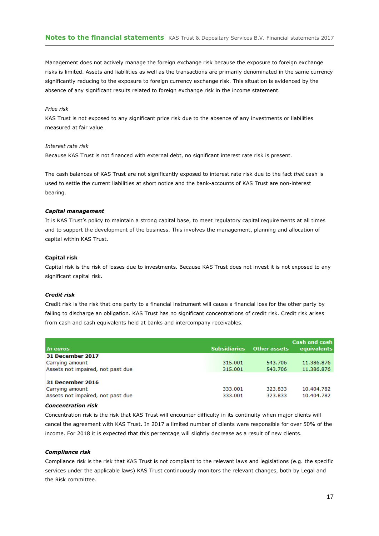Management does not actively manage the foreign exchange risk because the exposure to foreign exchange risks is limited. Assets and liabilities as well as the transactions are primarily denominated in the same currency significantly reducing to the exposure to foreign currency exchange risk. This situation is evidenced by the absence of any significant results related to foreign exchange risk in the income statement.

#### *Price risk*

KAS Trust is not exposed to any significant price risk due to the absence of any investments or liabilities measured at fair value.

#### *Interest rate risk*

Because KAS Trust is not financed with external debt, no significant interest rate risk is present.

The cash balances of KAS Trust are not significantly exposed to interest rate risk due to the fact *that* cash is used to settle the current liabilities at short notice and the bank-accounts of KAS Trust are non-interest bearing.

#### *Capital management*

It is KAS Trust's policy to maintain a strong capital base, to meet regulatory capital requirements at all times and to support the development of the business. This involves the management, planning and allocation of capital within KAS Trust.

#### **Capital risk**

Capital risk is the risk of losses due to investments. Because KAS Trust does not invest it is not exposed to any significant capital risk.

#### *Credit risk*

Credit risk is the risk that one party to a financial instrument will cause a financial loss for the other party by failing to discharge an obligation. KAS Trust has no significant concentrations of credit risk. Credit risk arises from cash and cash equivalents held at banks and intercompany receivables.

| In euros                                                                        | <b>Subsidiaries</b> | Other assets       | Cash and cash<br><b>equivalents</b> |
|---------------------------------------------------------------------------------|---------------------|--------------------|-------------------------------------|
| <b>31 December 2017</b>                                                         |                     |                    |                                     |
| Carrying amount                                                                 | 315,001             | 543.706            | 11.386.876                          |
| Assets not impaired, not past due                                               | 315.001             | 543.706            | 11.386.876                          |
| <b>31 December 2016</b><br>Carrying amount<br>Assets not impaired, not past due | 333.001<br>333.001  | 323.833<br>323.833 | 10.404.782<br>10.404.782            |

#### *Concentration risk*

Concentration risk is the risk that KAS Trust will encounter difficulty in its continuity when major clients will cancel the agreement with KAS Trust. In 2017 a limited number of clients were responsible for over 50% of the income. For 2018 it is expected that this percentage will slightly decrease as a result of new clients.

#### *Compliance risk*

Compliance risk is the risk that KAS Trust is not compliant to the relevant laws and legislations (e.g. the specific services under the applicable laws) KAS Trust continuously monitors the relevant changes, both by Legal and the Risk committee.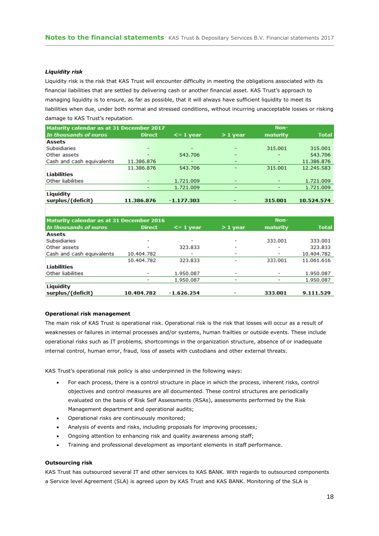#### *Liquidity risk*

Liquidity risk is the risk that KAS Trust will encounter difficulty in meeting the obligations associated with its financial liabilities that are settled by delivering cash or another financial asset. KAS Trust's approach to managing liquidity is to ensure, as far as possible, that it will always have sufficient liquidity to meet its liabilities when due, under both normal and stressed conditions, without incurring unacceptable losses or risking damage to KAS Trust's reputation.

| Maturity calendar as at 31 December 2017 |                          |                 |                          | Non-     |              |
|------------------------------------------|--------------------------|-----------------|--------------------------|----------|--------------|
| In thousands of euros                    | <b>Direct</b>            | $\leq$ = 1 year | $>1$ year                | maturity | <b>Total</b> |
| <b>Assets</b>                            |                          |                 |                          |          |              |
| <b>Subsidiaries</b>                      | $\overline{\phantom{0}}$ |                 | $\overline{\phantom{0}}$ | 315.001  | 315.001      |
| Other assets                             |                          | 543.706         | -                        | ٠        | 543.706      |
| Cash and cash equivalents                | 11.386.876               | ۰               | -                        | -        | 11.386.876   |
|                                          | 11.386.876               | 543.706         | $\overline{\phantom{0}}$ | 315.001  | 12.245.583   |
| <b>Liabilities</b>                       |                          |                 |                          |          |              |
| Other liabilities                        |                          | 1.721.009       |                          |          | 1.721.009    |
|                                          |                          | 1.721.009       |                          |          | 1.721.009    |
| Liquidity                                |                          |                 |                          |          |              |
| surplus/(deficit)                        | 11.386.876               | $-1.177.303$    |                          | 315.001  | 10.524.574   |

| Maturity calendar as at 31 December 2016 |                          |                          |                          | Non-                     |              |
|------------------------------------------|--------------------------|--------------------------|--------------------------|--------------------------|--------------|
| In thousands of euros                    | <b>Direct</b>            | $\leq$ = 1 year          | $>1$ year                | maturity                 | <b>Total</b> |
| <b>Assets</b>                            |                          |                          |                          |                          |              |
| <b>Subsidiaries</b>                      | $\overline{\phantom{0}}$ | $\overline{\phantom{0}}$ | -                        | 333.001                  | 333.001      |
| Other assets                             |                          | 323.833                  | $\overline{\phantom{0}}$ | $\overline{\phantom{a}}$ | 323.833      |
| Cash and cash equivalents                | 10.404.782               |                          | ٠                        | ٠                        | 10.404.782   |
|                                          | 10.404.782               | 323.833                  |                          | 333.001                  | 11.061.616   |
| <b>Liabilities</b>                       |                          |                          |                          |                          |              |
| Other liabilities                        | $\overline{\phantom{a}}$ | 1.950.087                | -                        | ٠                        | 1.950.087    |
|                                          |                          | 1.950.087                | -                        |                          | 1.950.087    |
| Liquidity                                |                          |                          |                          |                          |              |
| surplus/(deficit)                        | 10.404.782               | $-1.626.254$             |                          | 333.001                  | 9.111.529    |

#### **Operational risk management**

The main risk of KAS Trust is operational risk. Operational risk is the risk that losses will occur as a result of weaknesses or failures in internal processes and/or systems, human frailties or outside events. These include operational risks such as IT problems, shortcomings in the organization structure, absence of or inadequate internal control, human error, fraud, loss of assets with custodians and other external threats.

KAS Trust's operational risk policy is also underpinned in the following ways:

- For each process, there is a control structure in place in which the process, inherent risks, control objectives and control measures are all documented. These control structures are periodically evaluated on the basis of Risk Self Assessments (RSAs), assessments performed by the Risk Management department and operational audits;
- Operational risks are continuously monitored;
- Analysis of events and risks, including proposals for improving processes;
- Ongoing attention to enhancing risk and quality awareness among staff;
- Training and professional development as important elements in staff performance.

#### **Outsourcing risk**

KAS Trust has outsourced several IT and other services to KAS BANK. With regards to outsourced components a Service level Agreement (SLA) is agreed upon by KAS Trust and KAS BANK. Monitoring of the SLA is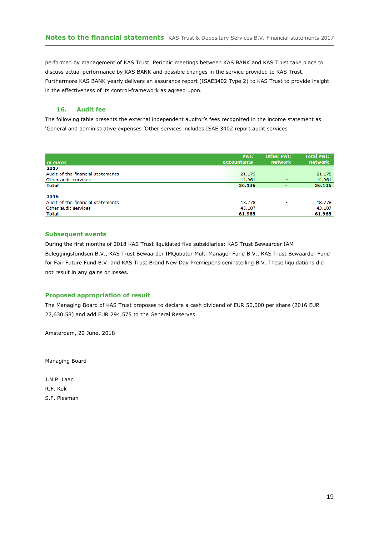performed by management of KAS Trust. Periodic meetings between KAS BANK and KAS Trust take place to discuss actual performance by KAS BANK and possible changes in the service provided to KAS Trust. Furthermore KAS BANK yearly delivers an assurance report (ISAE3402 Type 2) to KAS Trust to provide insight in the effectiveness of its control-framework as agreed upon.

#### **16. Audit fee**

The following table presents the external independent auditor's fees recognized in the income statement as 'General and administrative expenses 'Other services includes ISAE 3402 report audit services

| In euros                          | <b>PwC</b><br>accountants | <b>Other PwC</b><br>network | <b>Total PwC</b><br>network |
|-----------------------------------|---------------------------|-----------------------------|-----------------------------|
| 2017                              |                           |                             |                             |
| Audit of the financial statements | 21.175                    | -                           | 21.175                      |
| Other audit services              | 14.961                    | $\overline{\phantom{a}}$    | 14.961                      |
| <b>Total</b>                      | 36.136                    |                             | 36.136                      |
|                                   |                           |                             |                             |
| 2016                              |                           |                             |                             |
| Audit of the financial statements | 18.778                    | $\overline{\phantom{0}}$    | 18.778                      |
| Other audit services              | 43.187                    | $\overline{\phantom{0}}$    | 43.187                      |
| Total                             | 61.965                    | ۰                           | 61.965                      |

#### **Subsequent events**

During the first months of 2018 KAS Trust liquidated five subsidiaries: KAS Trust Bewaarder IAM Beleggingsfondsen B.V., KAS Trust Bewaarder IMQubator Multi Manager Fund B.V., KAS Trust Bewaarder Fund for Fair Future Fund B.V. and KAS Trust Brand New Day Premiepensioeninstelling B.V. These liquidations did not result in any gains or losses.

#### **Proposed appropriation of result**

The Managing Board of KAS Trust proposes to declare a cash dividend of EUR 50,000 per share (2016 EUR 27,630.58) and add EUR 294,575 to the General Reserves.

Amsterdam, 29 June, 2018

Managing Board

J.N.P. Laan R.F. Kok S.F. Plesman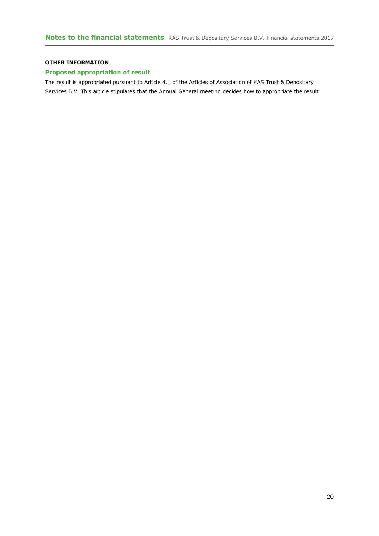### **OTHER INFORMATION**

### **Proposed appropriation of result**

The result is appropriated pursuant to Article 4.1 of the Articles of Association of KAS Trust & Depositary Services B.V. This article stipulates that the Annual General meeting decides how to appropriate the result.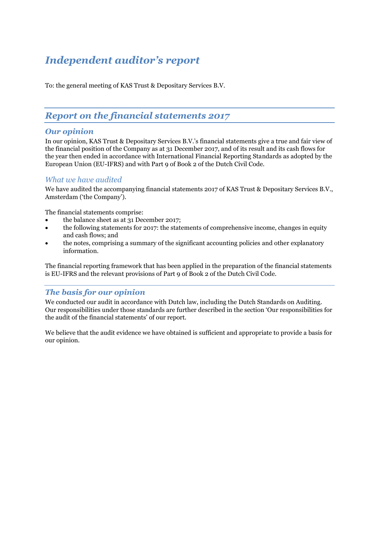# *Independent auditor's report*

To: the general meeting of KAS Trust & Depositary Services B.V.

# *Report on the financial statements 2017*

## *Our opinion*

In our opinion, KAS Trust & Depositary Services B.V.'s financial statements give a true and fair view of the financial position of the Company as at 31 December 2017, and of its result and its cash flows for the year then ended in accordance with International Financial Reporting Standards as adopted by the European Union (EU-IFRS) and with Part 9 of Book 2 of the Dutch Civil Code.

## *What we have audited*

We have audited the accompanying financial statements 2017 of KAS Trust & Depositary Services B.V., Amsterdam ('the Company').

The financial statements comprise:

- the balance sheet as at 31 December 2017;
- the following statements for 2017: the statements of comprehensive income, changes in equity and cash flows; and
- the notes, comprising a summary of the significant accounting policies and other explanatory information.

The financial reporting framework that has been applied in the preparation of the financial statements is EU-IFRS and the relevant provisions of Part 9 of Book 2 of the Dutch Civil Code.

# *The basis for our opinion*

We conducted our audit in accordance with Dutch law, including the Dutch Standards on Auditing. Our responsibilities under those standards are further described in the section 'Our responsibilities for the audit of the financial statements' of our report.

We believe that the audit evidence we have obtained is sufficient and appropriate to provide a basis for our opinion.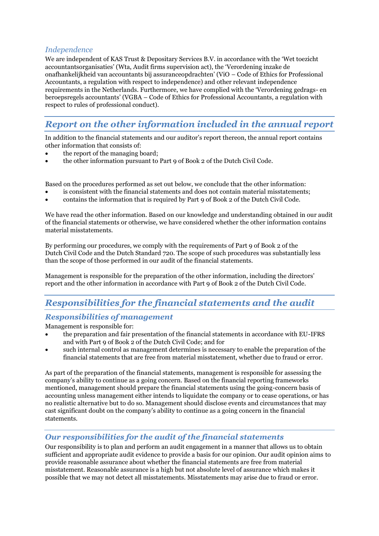# *Independence*

We are independent of KAS Trust & Depositary Services B.V. in accordance with the 'Wet toezicht accountantsorganisaties' (Wta, Audit firms supervision act), the 'Verordening inzake de onafhankelijkheid van accountants bij assuranceopdrachten' (ViO – Code of Ethics for Professional Accountants, a regulation with respect to independence) and other relevant independence requirements in the Netherlands. Furthermore, we have complied with the 'Verordening gedrags- en beroepsregels accountants' (VGBA – Code of Ethics for Professional Accountants, a regulation with respect to rules of professional conduct).

# *Report on the other information included in the annual report*

In addition to the financial statements and our auditor's report thereon, the annual report contains other information that consists of:

- the report of the managing board;
- the other information pursuant to Part 9 of Book 2 of the Dutch Civil Code.

Based on the procedures performed as set out below, we conclude that the other information:

- is consistent with the financial statements and does not contain material misstatements;
- contains the information that is required by Part 9 of Book 2 of the Dutch Civil Code.

We have read the other information. Based on our knowledge and understanding obtained in our audit of the financial statements or otherwise, we have considered whether the other information contains material misstatements.

By performing our procedures, we comply with the requirements of Part 9 of Book 2 of the Dutch Civil Code and the Dutch Standard 720. The scope of such procedures was substantially less than the scope of those performed in our audit of the financial statements.

Management is responsible for the preparation of the other information, including the directors' report and the other information in accordance with Part 9 of Book 2 of the Dutch Civil Code.

# *Responsibilities for the financial statements and the audit*

# *Responsibilities of management*

Management is responsible for:

- the preparation and fair presentation of the financial statements in accordance with EU-IFRS and with Part 9 of Book 2 of the Dutch Civil Code; and for
- such internal control as management determines is necessary to enable the preparation of the financial statements that are free from material misstatement, whether due to fraud or error.

As part of the preparation of the financial statements, management is responsible for assessing the company's ability to continue as a going concern. Based on the financial reporting frameworks mentioned, management should prepare the financial statements using the going-concern basis of accounting unless management either intends to liquidate the company or to cease operations, or has no realistic alternative but to do so. Management should disclose events and circumstances that may cast significant doubt on the company's ability to continue as a going concern in the financial statements.

# *Our responsibilities for the audit of the financial statements*

Our responsibility is to plan and perform an audit engagement in a manner that allows us to obtain sufficient and appropriate audit evidence to provide a basis for our opinion. Our audit opinion aims to provide reasonable assurance about whether the financial statements are free from material misstatement. Reasonable assurance is a high but not absolute level of assurance which makes it possible that we may not detect all misstatements. Misstatements may arise due to fraud or error.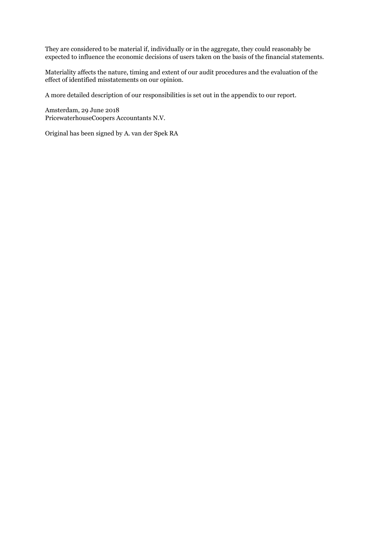They are considered to be material if, individually or in the aggregate, they could reasonably be expected to influence the economic decisions of users taken on the basis of the financial statements.

Materiality affects the nature, timing and extent of our audit procedures and the evaluation of the effect of identified misstatements on our opinion.

A more detailed description of our responsibilities is set out in the appendix to our report.

Amsterdam, 29 June 2018 PricewaterhouseCoopers Accountants N.V.

Original has been signed by A. van der Spek RA